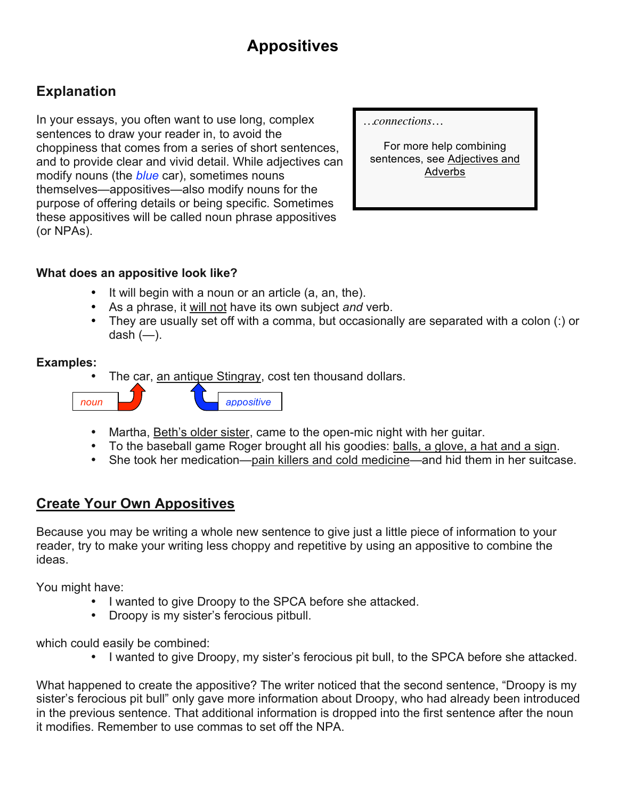# **Appositives**

## **Explanation**

In your essays, you often want to use long, complex sentences to draw your reader in, to avoid the choppiness that comes from a series of short sentences, and to provide clear and vivid detail. While adjectives can modify nouns (the *blue* car), sometimes nouns themselves—appositives—also modify nouns for the purpose of offering details or being specific. Sometimes these appositives will be called noun phrase appositives (or NPAs).

*…connections…*

For more help combining sentences, see Adjectives and Adverbs

#### **What does an appositive look like?**

- It will begin with a noun or an article (a, an, the).
- As a phrase, it will not have its own subject *and* verb.
- They are usually set off with a comma, but occasionally are separated with a colon (:) or dash  $(-)$ .

#### **Examples:**

The car, an antique Stingray, cost ten thousand dollars.



- Martha, Beth's older sister, came to the open-mic night with her guitar.
- To the baseball game Roger brought all his goodies: balls, a glove, a hat and a sign.
- She took her medication—pain killers and cold medicine—and hid them in her suitcase.

#### **Create Your Own Appositives**

Because you may be writing a whole new sentence to give just a little piece of information to your reader, try to make your writing less choppy and repetitive by using an appositive to combine the ideas.

You might have:

- I wanted to give Droopy to the SPCA before she attacked.
- Droopy is my sister's ferocious pitbull.

which could easily be combined:

• I wanted to give Droopy, my sister's ferocious pit bull, to the SPCA before she attacked.

What happened to create the appositive? The writer noticed that the second sentence, "Droopy is my sister's ferocious pit bull" only gave more information about Droopy, who had already been introduced in the previous sentence. That additional information is dropped into the first sentence after the noun it modifies. Remember to use commas to set off the NPA.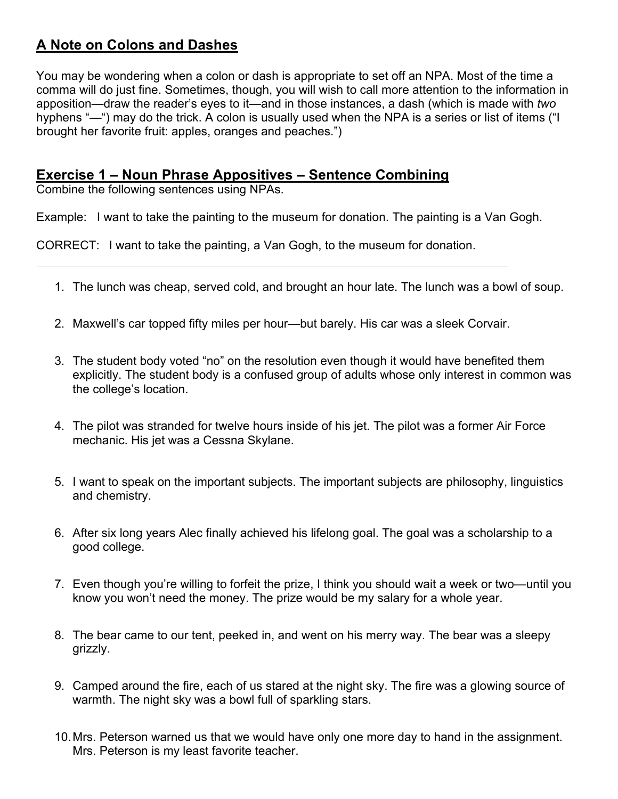## **A Note on Colons and Dashes**

You may be wondering when a colon or dash is appropriate to set off an NPA. Most of the time a comma will do just fine. Sometimes, though, you will wish to call more attention to the information in apposition—draw the reader's eyes to it—and in those instances, a dash (which is made with *two* hyphens "—") may do the trick. A colon is usually used when the NPA is a series or list of items ("I brought her favorite fruit: apples, oranges and peaches.")

#### **Exercise 1 – Noun Phrase Appositives – Sentence Combining**

Combine the following sentences using NPAs.

Example: I want to take the painting to the museum for donation. The painting is a Van Gogh.

CORRECT: I want to take the painting, a Van Gogh, to the museum for donation.

- 1. The lunch was cheap, served cold, and brought an hour late. The lunch was a bowl of soup.
- 2. Maxwell's car topped fifty miles per hour—but barely. His car was a sleek Corvair.
- 3. The student body voted "no" on the resolution even though it would have benefited them explicitly. The student body is a confused group of adults whose only interest in common was the college's location.
- 4. The pilot was stranded for twelve hours inside of his jet. The pilot was a former Air Force mechanic. His jet was a Cessna Skylane.
- 5. I want to speak on the important subjects. The important subjects are philosophy, linguistics and chemistry.
- 6. After six long years Alec finally achieved his lifelong goal. The goal was a scholarship to a good college.
- 7. Even though you're willing to forfeit the prize, I think you should wait a week or two—until you know you won't need the money. The prize would be my salary for a whole year.
- 8. The bear came to our tent, peeked in, and went on his merry way. The bear was a sleepy grizzly.
- 9. Camped around the fire, each of us stared at the night sky. The fire was a glowing source of warmth. The night sky was a bowl full of sparkling stars.
- 10.Mrs. Peterson warned us that we would have only one more day to hand in the assignment. Mrs. Peterson is my least favorite teacher.